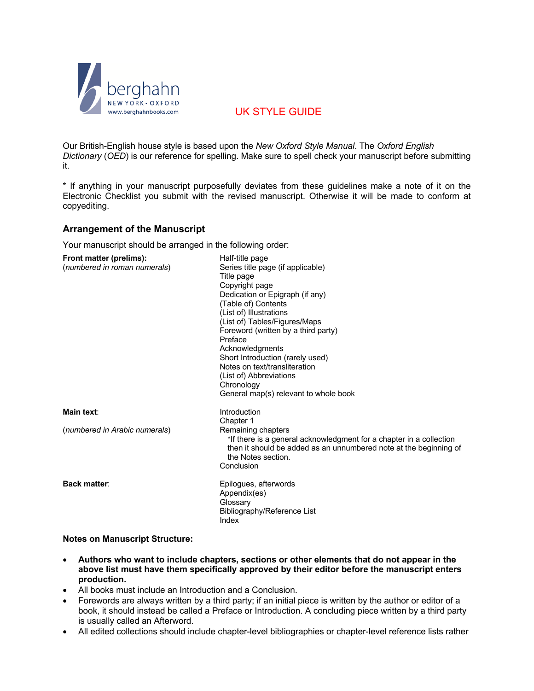

# UK STYLE GUIDE

Our British-English house style is based upon the *New Oxford Style Manual*. The *Oxford English Dictionary* (*OED*) is our reference for spelling. Make sure to spell check your manuscript before submitting it.

\* If anything in your manuscript purposefully deviates from these guidelines make a note of it on the Electronic Checklist you submit with the revised manuscript. Otherwise it will be made to conform at copyediting.

## **Arrangement of the Manuscript**

Your manuscript should be arranged in the following order:

| Front matter (prelims):<br>(numbered in roman numerals) | Half-title page<br>Series title page (if applicable)<br>Title page<br>Copyright page<br>Dedication or Epigraph (if any)<br>(Table of) Contents<br>(List of) Illustrations<br>(List of) Tables/Figures/Maps<br>Foreword (written by a third party)<br>Preface<br>Acknowledgments<br>Short Introduction (rarely used)<br>Notes on text/transliteration<br>(List of) Abbreviations<br>Chronology<br>General map(s) relevant to whole book |
|---------------------------------------------------------|----------------------------------------------------------------------------------------------------------------------------------------------------------------------------------------------------------------------------------------------------------------------------------------------------------------------------------------------------------------------------------------------------------------------------------------|
| Main text:                                              | Introduction<br>Chapter 1                                                                                                                                                                                                                                                                                                                                                                                                              |
| (numbered in Arabic numerals)                           | Remaining chapters<br>*If there is a general acknowledgment for a chapter in a collection<br>then it should be added as an unnumbered note at the beginning of<br>the Notes section.<br>Conclusion                                                                                                                                                                                                                                     |
| <b>Back matter:</b>                                     | Epilogues, afterwords<br>Appendix(es)<br>Glossary<br>Bibliography/Reference List<br>Index                                                                                                                                                                                                                                                                                                                                              |

#### **Notes on Manuscript Structure:**

- **Authors who want to include chapters, sections or other elements that do not appear in the above list must have them specifically approved by their editor before the manuscript enters production.**
- All books must include an Introduction and a Conclusion.
- Forewords are always written by a third party; if an initial piece is written by the author or editor of a book, it should instead be called a Preface or Introduction. A concluding piece written by a third party is usually called an Afterword.
- All edited collections should include chapter-level bibliographies or chapter-level reference lists rather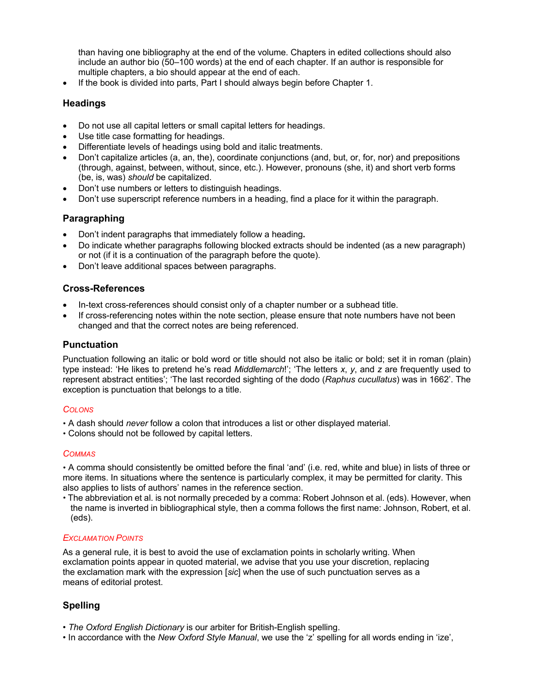than having one bibliography at the end of the volume. Chapters in edited collections should also include an author bio (50–100 words) at the end of each chapter. If an author is responsible for multiple chapters, a bio should appear at the end of each.

• If the book is divided into parts, Part I should always begin before Chapter 1.

## **Headings**

- Do not use all capital letters or small capital letters for headings.
- Use title case formatting for headings.
- Differentiate levels of headings using bold and italic treatments.
- Don't capitalize articles (a, an, the), coordinate conjunctions (and, but, or, for, nor) and prepositions (through, against, between, without, since, etc.). However, pronouns (she, it) and short verb forms (be, is, was) *should* be capitalized.
- Don't use numbers or letters to distinguish headings.
- Don't use superscript reference numbers in a heading, find a place for it within the paragraph.

## **Paragraphing**

- Don't indent paragraphs that immediately follow a heading**.**
- Do indicate whether paragraphs following blocked extracts should be indented (as a new paragraph) or not (if it is a continuation of the paragraph before the quote).
- Don't leave additional spaces between paragraphs.

## **Cross-References**

- In-text cross-references should consist only of a chapter number or a subhead title.
- If cross-referencing notes within the note section, please ensure that note numbers have not been changed and that the correct notes are being referenced.

## **Punctuation**

Punctuation following an italic or bold word or title should not also be italic or bold; set it in roman (plain) type instead: 'He likes to pretend he's read *Middlemarch*!'; 'The letters *x*, *y*, and *z* are frequently used to represent abstract entities'; 'The last recorded sighting of the dodo (*Raphus cucullatus*) was in 1662'. The exception is punctuation that belongs to a title.

#### *COLONS*

- A dash should *never* follow a colon that introduces a list or other displayed material.
- Colons should not be followed by capital letters.

#### *COMMAS*

 A comma should consistently be omitted before the final 'and' (i.e. red, white and blue) in lists of three or more items. In situations where the sentence is particularly complex, it may be permitted for clarity. This also applies to lists of authors' names in the reference section.

 The abbreviation et al. is not normally preceded by a comma: Robert Johnson et al. (eds). However, when the name is inverted in bibliographical style, then a comma follows the first name: Johnson, Robert, et al. (eds).

## *EXCLAMATION POINTS*

As a general rule, it is best to avoid the use of exclamation points in scholarly writing. When exclamation points appear in quoted material, we advise that you use your discretion, replacing the exclamation mark with the expression [*sic*] when the use of such punctuation serves as a means of editorial protest.

## **Spelling**

- *The Oxford English Dictionary* is our arbiter for British-English spelling.
- In accordance with the *New Oxford Style Manual*, we use the 'z' spelling for all words ending in 'ize',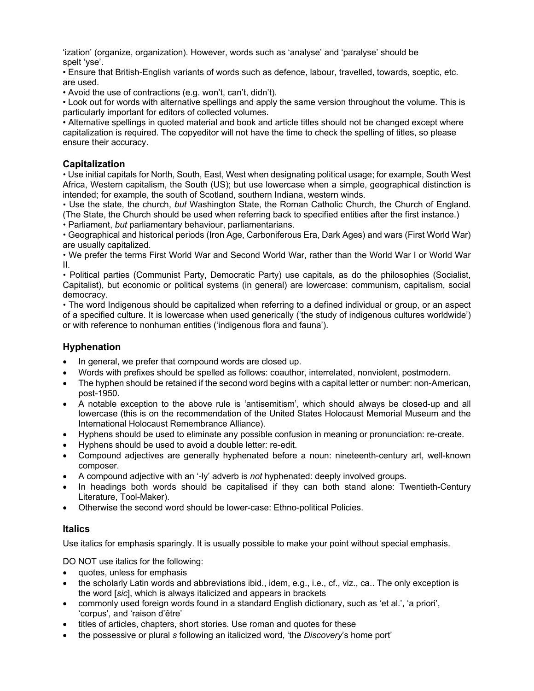'ization' (organize, organization). However, words such as 'analyse' and 'paralyse' should be spelt 'yse'.

• Ensure that British-English variants of words such as defence, labour, travelled, towards, sceptic, etc. are used.

• Avoid the use of contractions (e.g. won't, can't, didn't).

• Look out for words with alternative spellings and apply the same version throughout the volume. This is particularly important for editors of collected volumes.

• Alternative spellings in quoted material and book and article titles should not be changed except where capitalization is required. The copyeditor will not have the time to check the spelling of titles, so please ensure their accuracy.

## **Capitalization**

 Use initial capitals for North, South, East, West when designating political usage; for example, South West Africa, Western capitalism, the South (US); but use lowercase when a simple, geographical distinction is intended; for example, the south of Scotland, southern Indiana, western winds.

 Use the state, the church, *but* Washington State, the Roman Catholic Church, the Church of England. (The State, the Church should be used when referring back to specified entities after the first instance.)

Parliament, *but* parliamentary behaviour, parliamentarians.

 Geographical and historical periods (Iron Age, Carboniferous Era, Dark Ages) and wars (First World War) are usually capitalized.

 We prefer the terms First World War and Second World War, rather than the World War I or World War II.

 Political parties (Communist Party, Democratic Party) use capitals, as do the philosophies (Socialist, Capitalist), but economic or political systems (in general) are lowercase: communism, capitalism, social democracy.

 The word Indigenous should be capitalized when referring to a defined individual or group, or an aspect of a specified culture. It is lowercase when used generically ('the study of indigenous cultures worldwide') or with reference to nonhuman entities ('indigenous flora and fauna').

## **Hyphenation**

- In general, we prefer that compound words are closed up.
- Words with prefixes should be spelled as follows: coauthor, interrelated, nonviolent, postmodern.
- The hyphen should be retained if the second word begins with a capital letter or number: non-American, post-1950.
- A notable exception to the above rule is 'antisemitism', which should always be closed-up and all lowercase (this is on the recommendation of the United States Holocaust Memorial Museum and the International Holocaust Remembrance Alliance).
- Hyphens should be used to eliminate any possible confusion in meaning or pronunciation: re-create.
- Hyphens should be used to avoid a double letter: re-edit.
- Compound adjectives are generally hyphenated before a noun: nineteenth-century art, well-known composer.
- A compound adjective with an '-ly' adverb is *not* hyphenated: deeply involved groups.
- In headings both words should be capitalised if they can both stand alone: Twentieth-Century Literature, Tool-Maker).
- Otherwise the second word should be lower-case: Ethno-political Policies.

## **Italics**

Use italics for emphasis sparingly. It is usually possible to make your point without special emphasis.

DO NOT use italics for the following:

- quotes, unless for emphasis
- the scholarly Latin words and abbreviations ibid., idem, e.g., i.e., cf., viz., ca.. The only exception is the word [*sic*], which is always italicized and appears in brackets
- commonly used foreign words found in a standard English dictionary, such as 'et al.', 'a priori', 'corpus', and 'raison d'être'
- titles of articles, chapters, short stories. Use roman and quotes for these
- the possessive or plural *s* following an italicized word, 'the *Discovery*'s home port'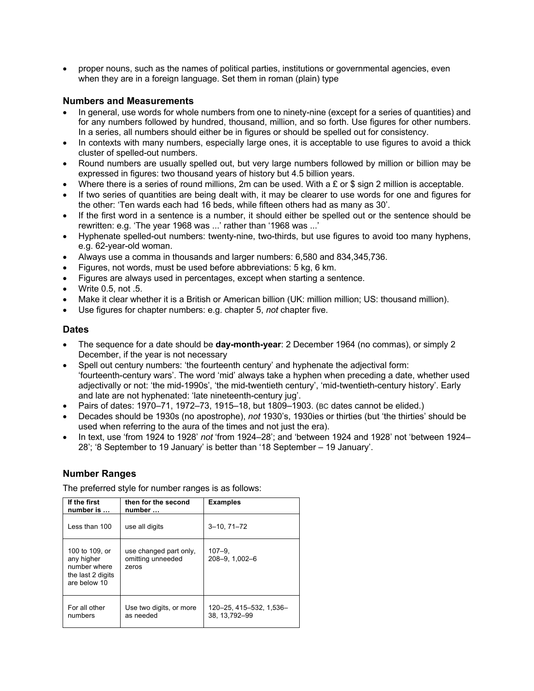• proper nouns, such as the names of political parties, institutions or governmental agencies, even when they are in a foreign language. Set them in roman (plain) type

## **Numbers and Measurements**

- In general, use words for whole numbers from one to ninety-nine (except for a series of quantities) and for any numbers followed by hundred, thousand, million, and so forth. Use figures for other numbers. In a series, all numbers should either be in figures or should be spelled out for consistency.
- In contexts with many numbers, especially large ones, it is acceptable to use figures to avoid a thick cluster of spelled-out numbers.
- Round numbers are usually spelled out, but very large numbers followed by million or billion may be expressed in figures: two thousand years of history but 4.5 billion years.
- Where there is a series of round millions, 2m can be used. With a £ or \$ sign 2 million is acceptable.
- If two series of quantities are being dealt with, it may be clearer to use words for one and figures for the other: 'Ten wards each had 16 beds, while fifteen others had as many as 30'.
- If the first word in a sentence is a number, it should either be spelled out or the sentence should be rewritten: e.g. 'The year 1968 was ...' rather than '1968 was ...'
- Hyphenate spelled-out numbers: twenty-nine, two-thirds, but use figures to avoid too many hyphens, e.g. 62-year-old woman.
- Always use a comma in thousands and larger numbers: 6,580 and 834,345,736.
- Figures, not words, must be used before abbreviations: 5 kg, 6 km.
- Figures are always used in percentages, except when starting a sentence.
- Write 0.5, not .5.
- Make it clear whether it is a British or American billion (UK: million million; US: thousand million).
- Use figures for chapter numbers: e.g. chapter 5, *not* chapter five.

## **Dates**

- The sequence for a date should be **day-month-year**: 2 December 1964 (no commas), or simply 2 December, if the year is not necessary
- Spell out century numbers: 'the fourteenth century' and hyphenate the adjectival form: 'fourteenth-century wars'. The word 'mid' always take a hyphen when preceding a date, whether used adjectivally or not: 'the mid-1990s', 'the mid-twentieth century', 'mid-twentieth-century history'. Early and late are not hyphenated: 'late nineteenth-century jug'.
- Pairs of dates: 1970–71, 1972–73, 1915–18, but 1809–1903. (BC dates cannot be elided.)
- Decades should be 1930s (no apostrophe), *not* 1930's, 1930ies or thirties (but 'the thirties' should be used when referring to the aura of the times and not just the era).
- In text, use 'from 1924 to 1928' *not* 'from 1924–28'; and 'between 1924 and 1928' not 'between 1924– 28'; '8 September to 19 January' is better than '18 September – 19 January'.

## **Number Ranges**

The preferred style for number ranges is as follows:

| If the first<br>number is                                                         | then for the second<br>number                        | <b>Examples</b>                         |
|-----------------------------------------------------------------------------------|------------------------------------------------------|-----------------------------------------|
| Less than 100                                                                     | use all digits                                       | $3 - 10, 71 - 72$                       |
| 100 to 109, or<br>any higher<br>number where<br>the last 2 digits<br>are below 10 | use changed part only,<br>omitting unneeded<br>zeros | $107 - 9$<br>208-9, 1,002-6             |
| For all other<br>numbers                                                          | Use two digits, or more<br>as needed                 | 120–25, 415–532, 1,536–<br>38.13.792-99 |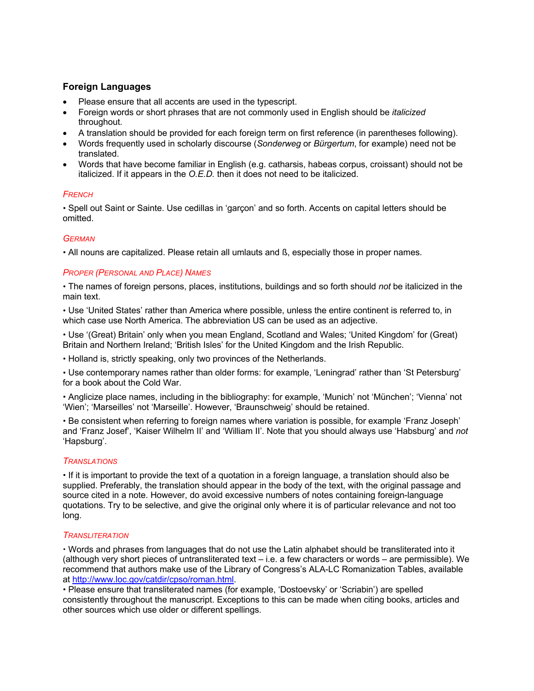## **Foreign Languages**

- Please ensure that all accents are used in the typescript.
- Foreign words or short phrases that are not commonly used in English should be *italicized* throughout*.*
- A translation should be provided for each foreign term on first reference (in parentheses following).
- Words frequently used in scholarly discourse (*Sonderweg* or *Bürgertum*, for example) need not be translated.
- Words that have become familiar in English (e.g. catharsis, habeas corpus, croissant) should not be italicized. If it appears in the *O.E.D.* then it does not need to be italicized.

### *FRENCH*

 Spell out Saint or Sainte. Use cedillas in 'garçon' and so forth. Accents on capital letters should be omitted.

### *GERMAN*

All nouns are capitalized. Please retain all umlauts and ß, especially those in proper names.

### *PROPER (PERSONAL AND PLACE) NAMES*

 The names of foreign persons, places, institutions, buildings and so forth should *not* be italicized in the main text.

 Use 'United States' rather than America where possible, unless the entire continent is referred to, in which case use North America. The abbreviation US can be used as an adjective.

 Use '(Great) Britain' only when you mean England, Scotland and Wales; 'United Kingdom' for (Great) Britain and Northern Ireland; 'British Isles' for the United Kingdom and the Irish Republic.

Holland is, strictly speaking, only two provinces of the Netherlands.

 Use contemporary names rather than older forms: for example, 'Leningrad' rather than 'St Petersburg' for a book about the Cold War.

 Anglicize place names, including in the bibliography: for example, 'Munich' not 'München'; 'Vienna' not 'Wien'; 'Marseilles' not 'Marseille'. However, 'Braunschweig' should be retained.

 Be consistent when referring to foreign names where variation is possible, for example 'Franz Joseph' and 'Franz Josef', 'Kaiser Wilhelm II' and 'William II'. Note that you should always use 'Habsburg' and *not* 'Hapsburg'.

#### *TRANSLATIONS*

 If it is important to provide the text of a quotation in a foreign language, a translation should also be supplied. Preferably, the translation should appear in the body of the text, with the original passage and source cited in a note. However, do avoid excessive numbers of notes containing foreign-language quotations. Try to be selective, and give the original only where it is of particular relevance and not too long.

#### *TRANSLITERATION*

 Words and phrases from languages that do not use the Latin alphabet should be transliterated into it (although very short pieces of untransliterated text – i.e. a few characters or words – are permissible). We recommend that authors make use of the Library of Congress's ALA-LC Romanization Tables, available at http://www.loc.gov/catdir/cpso/roman.html.

 Please ensure that transliterated names (for example, 'Dostoevsky' or 'Scriabin') are spelled consistently throughout the manuscript. Exceptions to this can be made when citing books, articles and other sources which use older or different spellings.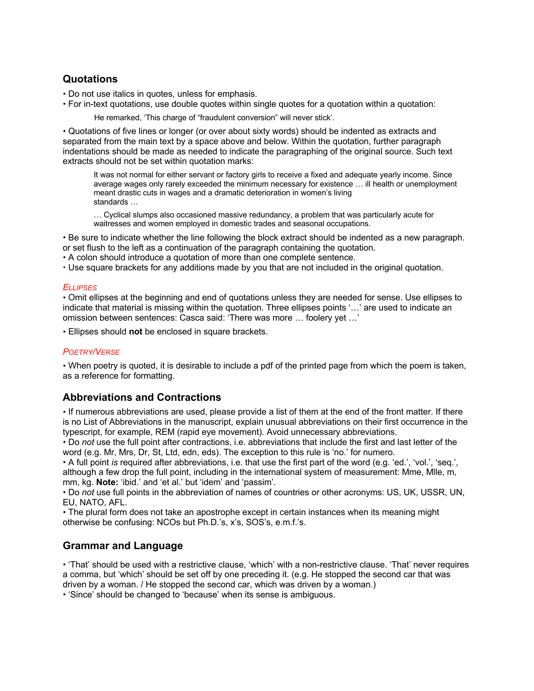# **Quotations**

- Do not use italics in quotes, unless for emphasis.
- For in-text quotations, use double quotes within single quotes for a quotation within a quotation:

He remarked, 'This charge of "fraudulent conversion" will never stick'.

 Quotations of five lines or longer (or over about sixty words) should be indented as extracts and separated from the main text by a space above and below. Within the quotation, further paragraph indentations should be made as needed to indicate the paragraphing of the original source. Such text extracts should not be set within quotation marks:

It was not normal for either servant or factory girls to receive a fixed and adequate yearly income. Since average wages only rarely exceeded the minimum necessary for existence … ill health or unemployment meant drastic cuts in wages and a dramatic deterioration in women's living standards …

… Cyclical slumps also occasioned massive redundancy, a problem that was particularly acute for waitresses and women employed in domestic trades and seasonal occupations.

 Be sure to indicate whether the line following the block extract should be indented as a new paragraph. or set flush to the left as a continuation of the paragraph containing the quotation.

A colon should introduce a quotation of more than one complete sentence.

Use square brackets for any additions made by you that are not included in the original quotation.

### *ELLIPSES*

 Omit ellipses at the beginning and end of quotations unless they are needed for sense. Use ellipses to indicate that material is missing within the quotation. Three ellipses points '…' are used to indicate an omission between sentences: Casca said: 'There was more … foolery yet …'

Ellipses should **not** be enclosed in square brackets.

## *POETRY/VERSE*

 When poetry is quoted, it is desirable to include a pdf of the printed page from which the poem is taken, as a reference for formatting.

## **Abbreviations and Contractions**

 If numerous abbreviations are used, please provide a list of them at the end of the front matter. If there is no List of Abbreviations in the manuscript, explain unusual abbreviations on their first occurrence in the typescript, for example, REM (rapid eye movement). Avoid unnecessary abbreviations.

 Do *not* use the full point after contractions, i.e. abbreviations that include the first and last letter of the word (e.g. Mr, Mrs, Dr, St, Ltd, edn, eds). The exception to this rule is 'no.' for numero.

 A full point *is* required after abbreviations, i.e. that use the first part of the word (e.g. 'ed.', 'vol.', 'seq.', although a few drop the full point, including in the international system of measurement: Mme, Mlle, m, mm, kg. **Note:** 'ibid.' and 'et al.' but 'idem' and 'passim'.

 Do *not* use full points in the abbreviation of names of countries or other acronyms: US, UK, USSR, UN, EU, NATO, AFL.

 The plural form does not take an apostrophe except in certain instances when its meaning might otherwise be confusing: NCOs but Ph.D.'s, x's, SOS's, e.m.f.'s.

## **Grammar and Language**

 'That' should be used with a restrictive clause, 'which' with a non-restrictive clause. 'That' never requires a comma, but 'which' should be set off by one preceding it. (e.g. He stopped the second car that was driven by a woman. / He stopped the second car, which was driven by a woman.)

'Since' should be changed to 'because' when its sense is ambiguous.